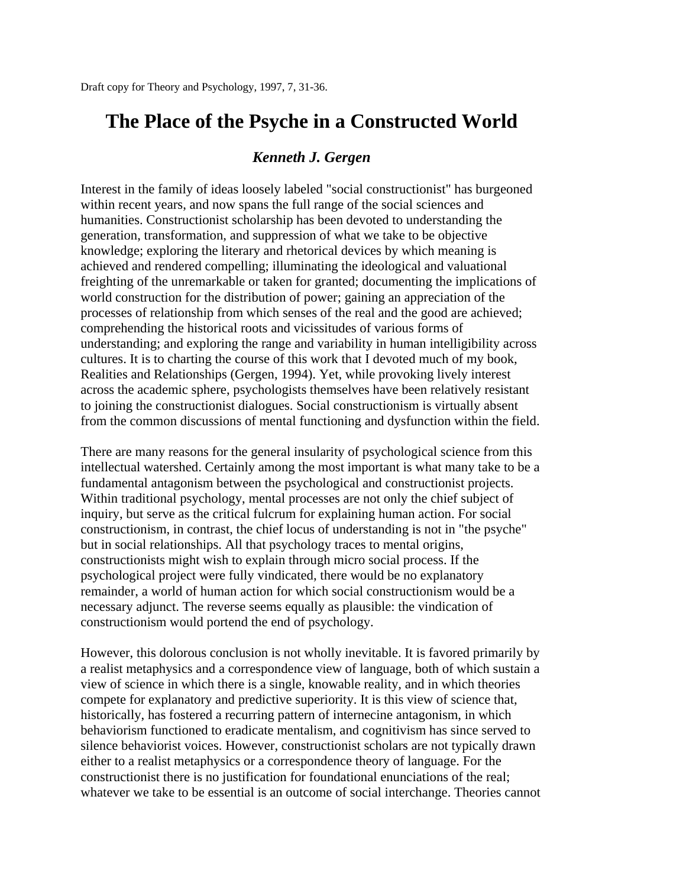# **The Place of the Psyche in a Constructed World**

# *Kenneth J. Gergen*

Interest in the family of ideas loosely labeled "social constructionist" has burgeoned within recent years, and now spans the full range of the social sciences and humanities. Constructionist scholarship has been devoted to understanding the generation, transformation, and suppression of what we take to be objective knowledge; exploring the literary and rhetorical devices by which meaning is achieved and rendered compelling; illuminating the ideological and valuational freighting of the unremarkable or taken for granted; documenting the implications of world construction for the distribution of power; gaining an appreciation of the processes of relationship from which senses of the real and the good are achieved; comprehending the historical roots and vicissitudes of various forms of understanding; and exploring the range and variability in human intelligibility across cultures. It is to charting the course of this work that I devoted much of my book, Realities and Relationships (Gergen, 1994). Yet, while provoking lively interest across the academic sphere, psychologists themselves have been relatively resistant to joining the constructionist dialogues. Social constructionism is virtually absent from the common discussions of mental functioning and dysfunction within the field.

There are many reasons for the general insularity of psychological science from this intellectual watershed. Certainly among the most important is what many take to be a fundamental antagonism between the psychological and constructionist projects. Within traditional psychology, mental processes are not only the chief subject of inquiry, but serve as the critical fulcrum for explaining human action. For social constructionism, in contrast, the chief locus of understanding is not in "the psyche" but in social relationships. All that psychology traces to mental origins, constructionists might wish to explain through micro social process. If the psychological project were fully vindicated, there would be no explanatory remainder, a world of human action for which social constructionism would be a necessary adjunct. The reverse seems equally as plausible: the vindication of constructionism would portend the end of psychology.

However, this dolorous conclusion is not wholly inevitable. It is favored primarily by a realist metaphysics and a correspondence view of language, both of which sustain a view of science in which there is a single, knowable reality, and in which theories compete for explanatory and predictive superiority. It is this view of science that, historically, has fostered a recurring pattern of internecine antagonism, in which behaviorism functioned to eradicate mentalism, and cognitivism has since served to silence behaviorist voices. However, constructionist scholars are not typically drawn either to a realist metaphysics or a correspondence theory of language. For the constructionist there is no justification for foundational enunciations of the real; whatever we take to be essential is an outcome of social interchange. Theories cannot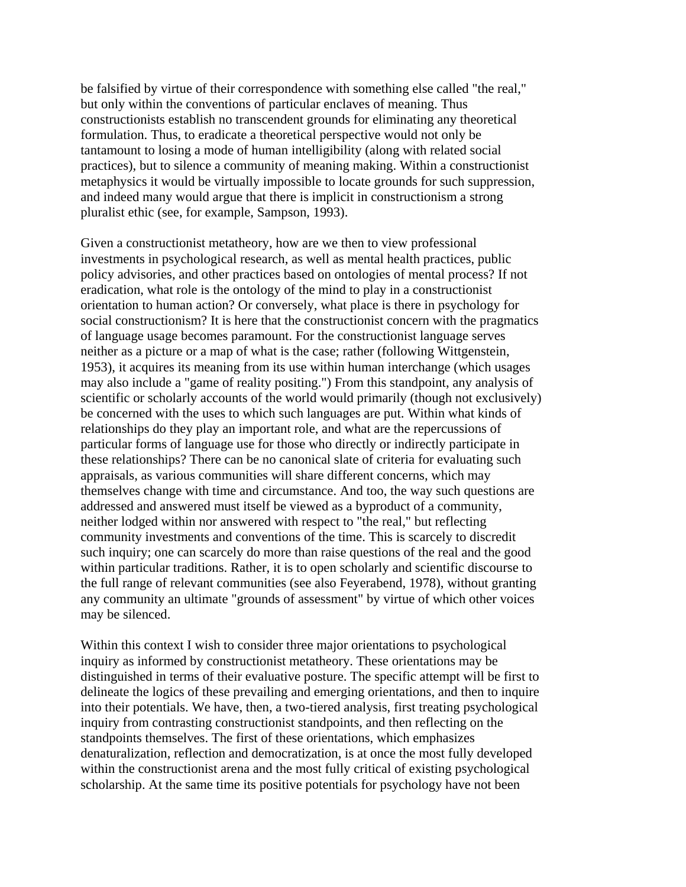be falsified by virtue of their correspondence with something else called "the real," but only within the conventions of particular enclaves of meaning. Thus constructionists establish no transcendent grounds for eliminating any theoretical formulation. Thus, to eradicate a theoretical perspective would not only be tantamount to losing a mode of human intelligibility (along with related social practices), but to silence a community of meaning making. Within a constructionist metaphysics it would be virtually impossible to locate grounds for such suppression, and indeed many would argue that there is implicit in constructionism a strong pluralist ethic (see, for example, Sampson, 1993).

Given a constructionist metatheory, how are we then to view professional investments in psychological research, as well as mental health practices, public policy advisories, and other practices based on ontologies of mental process? If not eradication, what role is the ontology of the mind to play in a constructionist orientation to human action? Or conversely, what place is there in psychology for social constructionism? It is here that the constructionist concern with the pragmatics of language usage becomes paramount. For the constructionist language serves neither as a picture or a map of what is the case; rather (following Wittgenstein, 1953), it acquires its meaning from its use within human interchange (which usages may also include a "game of reality positing.") From this standpoint, any analysis of scientific or scholarly accounts of the world would primarily (though not exclusively) be concerned with the uses to which such languages are put. Within what kinds of relationships do they play an important role, and what are the repercussions of particular forms of language use for those who directly or indirectly participate in these relationships? There can be no canonical slate of criteria for evaluating such appraisals, as various communities will share different concerns, which may themselves change with time and circumstance. And too, the way such questions are addressed and answered must itself be viewed as a byproduct of a community, neither lodged within nor answered with respect to "the real," but reflecting community investments and conventions of the time. This is scarcely to discredit such inquiry; one can scarcely do more than raise questions of the real and the good within particular traditions. Rather, it is to open scholarly and scientific discourse to the full range of relevant communities (see also Feyerabend, 1978), without granting any community an ultimate "grounds of assessment" by virtue of which other voices may be silenced.

Within this context I wish to consider three major orientations to psychological inquiry as informed by constructionist metatheory. These orientations may be distinguished in terms of their evaluative posture. The specific attempt will be first to delineate the logics of these prevailing and emerging orientations, and then to inquire into their potentials. We have, then, a two-tiered analysis, first treating psychological inquiry from contrasting constructionist standpoints, and then reflecting on the standpoints themselves. The first of these orientations, which emphasizes denaturalization, reflection and democratization, is at once the most fully developed within the constructionist arena and the most fully critical of existing psychological scholarship. At the same time its positive potentials for psychology have not been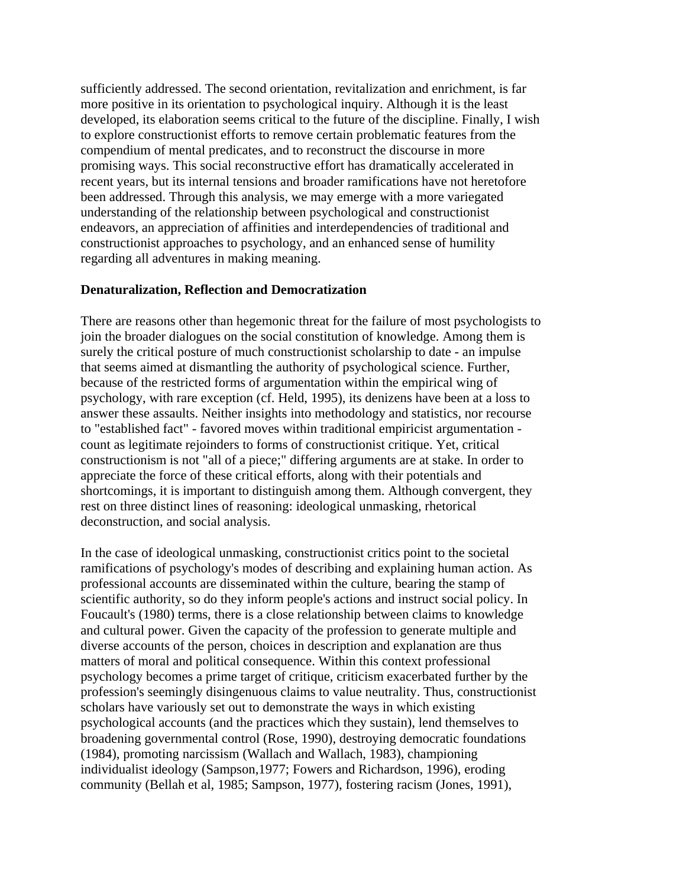sufficiently addressed. The second orientation, revitalization and enrichment, is far more positive in its orientation to psychological inquiry. Although it is the least developed, its elaboration seems critical to the future of the discipline. Finally, I wish to explore constructionist efforts to remove certain problematic features from the compendium of mental predicates, and to reconstruct the discourse in more promising ways. This social reconstructive effort has dramatically accelerated in recent years, but its internal tensions and broader ramifications have not heretofore been addressed. Through this analysis, we may emerge with a more variegated understanding of the relationship between psychological and constructionist endeavors, an appreciation of affinities and interdependencies of traditional and constructionist approaches to psychology, and an enhanced sense of humility regarding all adventures in making meaning.

#### **Denaturalization, Reflection and Democratization**

There are reasons other than hegemonic threat for the failure of most psychologists to join the broader dialogues on the social constitution of knowledge. Among them is surely the critical posture of much constructionist scholarship to date - an impulse that seems aimed at dismantling the authority of psychological science. Further, because of the restricted forms of argumentation within the empirical wing of psychology, with rare exception (cf. Held, 1995), its denizens have been at a loss to answer these assaults. Neither insights into methodology and statistics, nor recourse to "established fact" - favored moves within traditional empiricist argumentation count as legitimate rejoinders to forms of constructionist critique. Yet, critical constructionism is not "all of a piece;" differing arguments are at stake. In order to appreciate the force of these critical efforts, along with their potentials and shortcomings, it is important to distinguish among them. Although convergent, they rest on three distinct lines of reasoning: ideological unmasking, rhetorical deconstruction, and social analysis.

In the case of ideological unmasking, constructionist critics point to the societal ramifications of psychology's modes of describing and explaining human action. As professional accounts are disseminated within the culture, bearing the stamp of scientific authority, so do they inform people's actions and instruct social policy. In Foucault's (1980) terms, there is a close relationship between claims to knowledge and cultural power. Given the capacity of the profession to generate multiple and diverse accounts of the person, choices in description and explanation are thus matters of moral and political consequence. Within this context professional psychology becomes a prime target of critique, criticism exacerbated further by the profession's seemingly disingenuous claims to value neutrality. Thus, constructionist scholars have variously set out to demonstrate the ways in which existing psychological accounts (and the practices which they sustain), lend themselves to broadening governmental control (Rose, 1990), destroying democratic foundations (1984), promoting narcissism (Wallach and Wallach, 1983), championing individualist ideology (Sampson,1977; Fowers and Richardson, 1996), eroding community (Bellah et al, 1985; Sampson, 1977), fostering racism (Jones, 1991),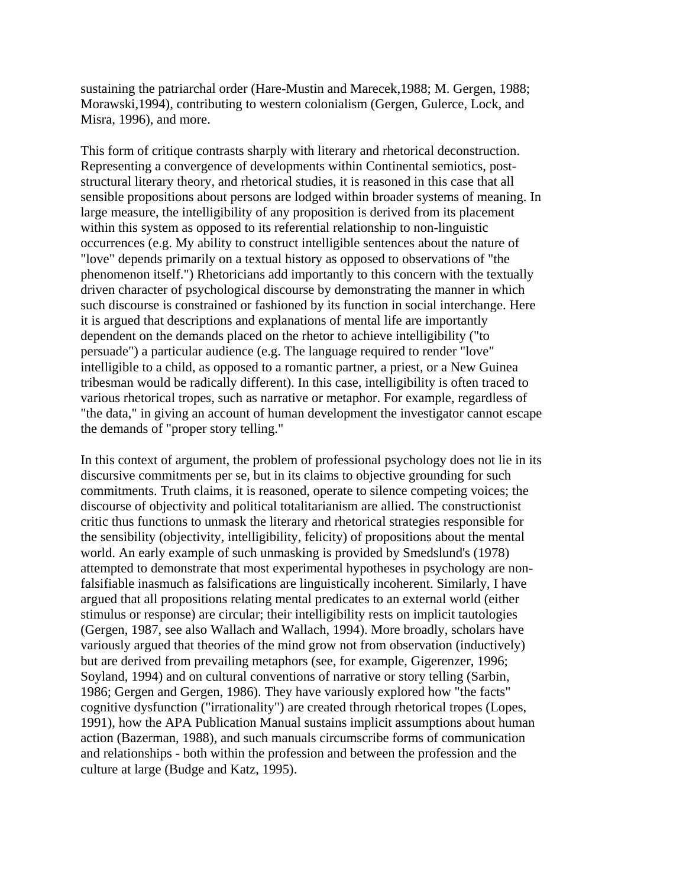sustaining the patriarchal order (Hare-Mustin and Marecek,1988; M. Gergen, 1988; Morawski,1994), contributing to western colonialism (Gergen, Gulerce, Lock, and Misra, 1996), and more.

This form of critique contrasts sharply with literary and rhetorical deconstruction. Representing a convergence of developments within Continental semiotics, poststructural literary theory, and rhetorical studies, it is reasoned in this case that all sensible propositions about persons are lodged within broader systems of meaning. In large measure, the intelligibility of any proposition is derived from its placement within this system as opposed to its referential relationship to non-linguistic occurrences (e.g. My ability to construct intelligible sentences about the nature of "love" depends primarily on a textual history as opposed to observations of "the phenomenon itself.") Rhetoricians add importantly to this concern with the textually driven character of psychological discourse by demonstrating the manner in which such discourse is constrained or fashioned by its function in social interchange. Here it is argued that descriptions and explanations of mental life are importantly dependent on the demands placed on the rhetor to achieve intelligibility ("to persuade") a particular audience (e.g. The language required to render "love" intelligible to a child, as opposed to a romantic partner, a priest, or a New Guinea tribesman would be radically different). In this case, intelligibility is often traced to various rhetorical tropes, such as narrative or metaphor. For example, regardless of "the data," in giving an account of human development the investigator cannot escape the demands of "proper story telling."

In this context of argument, the problem of professional psychology does not lie in its discursive commitments per se, but in its claims to objective grounding for such commitments. Truth claims, it is reasoned, operate to silence competing voices; the discourse of objectivity and political totalitarianism are allied. The constructionist critic thus functions to unmask the literary and rhetorical strategies responsible for the sensibility (objectivity, intelligibility, felicity) of propositions about the mental world. An early example of such unmasking is provided by Smedslund's (1978) attempted to demonstrate that most experimental hypotheses in psychology are nonfalsifiable inasmuch as falsifications are linguistically incoherent. Similarly, I have argued that all propositions relating mental predicates to an external world (either stimulus or response) are circular; their intelligibility rests on implicit tautologies (Gergen, 1987, see also Wallach and Wallach, 1994). More broadly, scholars have variously argued that theories of the mind grow not from observation (inductively) but are derived from prevailing metaphors (see, for example, Gigerenzer, 1996; Soyland, 1994) and on cultural conventions of narrative or story telling (Sarbin, 1986; Gergen and Gergen, 1986). They have variously explored how "the facts" cognitive dysfunction ("irrationality") are created through rhetorical tropes (Lopes, 1991), how the APA Publication Manual sustains implicit assumptions about human action (Bazerman, 1988), and such manuals circumscribe forms of communication and relationships - both within the profession and between the profession and the culture at large (Budge and Katz, 1995).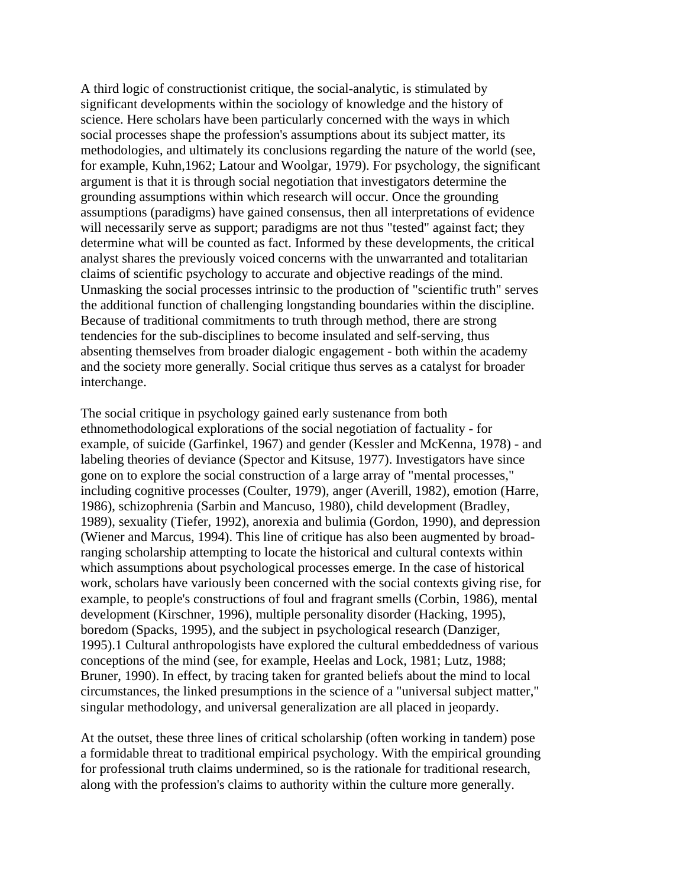A third logic of constructionist critique, the social-analytic, is stimulated by significant developments within the sociology of knowledge and the history of science. Here scholars have been particularly concerned with the ways in which social processes shape the profession's assumptions about its subject matter, its methodologies, and ultimately its conclusions regarding the nature of the world (see, for example, Kuhn,1962; Latour and Woolgar, 1979). For psychology, the significant argument is that it is through social negotiation that investigators determine the grounding assumptions within which research will occur. Once the grounding assumptions (paradigms) have gained consensus, then all interpretations of evidence will necessarily serve as support; paradigms are not thus "tested" against fact; they determine what will be counted as fact. Informed by these developments, the critical analyst shares the previously voiced concerns with the unwarranted and totalitarian claims of scientific psychology to accurate and objective readings of the mind. Unmasking the social processes intrinsic to the production of "scientific truth" serves the additional function of challenging longstanding boundaries within the discipline. Because of traditional commitments to truth through method, there are strong tendencies for the sub-disciplines to become insulated and self-serving, thus absenting themselves from broader dialogic engagement - both within the academy and the society more generally. Social critique thus serves as a catalyst for broader interchange.

The social critique in psychology gained early sustenance from both ethnomethodological explorations of the social negotiation of factuality - for example, of suicide (Garfinkel, 1967) and gender (Kessler and McKenna, 1978) - and labeling theories of deviance (Spector and Kitsuse, 1977). Investigators have since gone on to explore the social construction of a large array of "mental processes," including cognitive processes (Coulter, 1979), anger (Averill, 1982), emotion (Harre, 1986), schizophrenia (Sarbin and Mancuso, 1980), child development (Bradley, 1989), sexuality (Tiefer, 1992), anorexia and bulimia (Gordon, 1990), and depression (Wiener and Marcus, 1994). This line of critique has also been augmented by broadranging scholarship attempting to locate the historical and cultural contexts within which assumptions about psychological processes emerge. In the case of historical work, scholars have variously been concerned with the social contexts giving rise, for example, to people's constructions of foul and fragrant smells (Corbin, 1986), mental development (Kirschner, 1996), multiple personality disorder (Hacking, 1995), boredom (Spacks, 1995), and the subject in psychological research (Danziger, 1995).1 Cultural anthropologists have explored the cultural embeddedness of various conceptions of the mind (see, for example, Heelas and Lock, 1981; Lutz, 1988; Bruner, 1990). In effect, by tracing taken for granted beliefs about the mind to local circumstances, the linked presumptions in the science of a "universal subject matter," singular methodology, and universal generalization are all placed in jeopardy.

At the outset, these three lines of critical scholarship (often working in tandem) pose a formidable threat to traditional empirical psychology. With the empirical grounding for professional truth claims undermined, so is the rationale for traditional research, along with the profession's claims to authority within the culture more generally.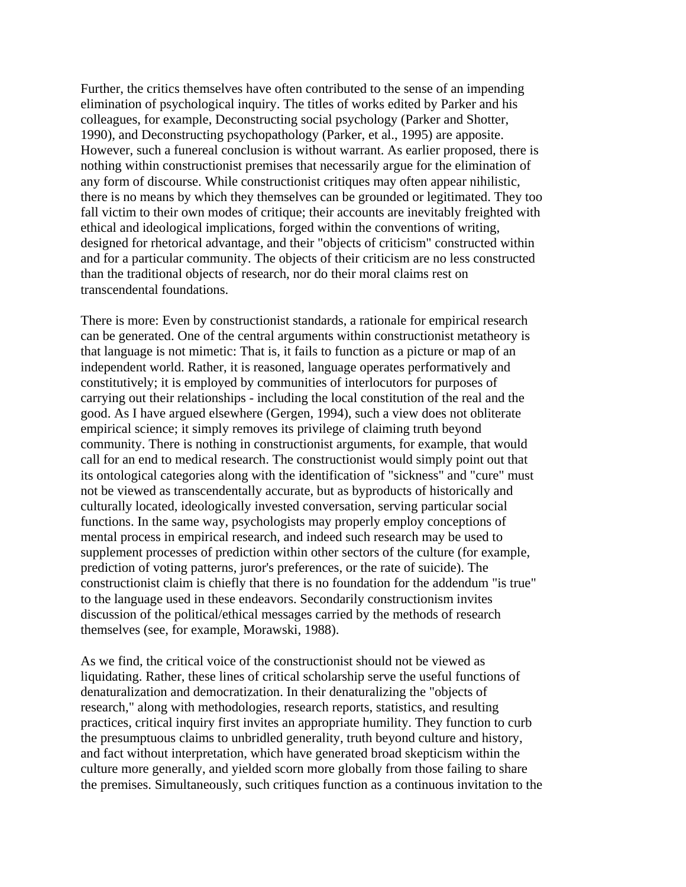Further, the critics themselves have often contributed to the sense of an impending elimination of psychological inquiry. The titles of works edited by Parker and his colleagues, for example, Deconstructing social psychology (Parker and Shotter, 1990), and Deconstructing psychopathology (Parker, et al., 1995) are apposite. However, such a funereal conclusion is without warrant. As earlier proposed, there is nothing within constructionist premises that necessarily argue for the elimination of any form of discourse. While constructionist critiques may often appear nihilistic, there is no means by which they themselves can be grounded or legitimated. They too fall victim to their own modes of critique; their accounts are inevitably freighted with ethical and ideological implications, forged within the conventions of writing, designed for rhetorical advantage, and their "objects of criticism" constructed within and for a particular community. The objects of their criticism are no less constructed than the traditional objects of research, nor do their moral claims rest on transcendental foundations.

There is more: Even by constructionist standards, a rationale for empirical research can be generated. One of the central arguments within constructionist metatheory is that language is not mimetic: That is, it fails to function as a picture or map of an independent world. Rather, it is reasoned, language operates performatively and constitutively; it is employed by communities of interlocutors for purposes of carrying out their relationships - including the local constitution of the real and the good. As I have argued elsewhere (Gergen, 1994), such a view does not obliterate empirical science; it simply removes its privilege of claiming truth beyond community. There is nothing in constructionist arguments, for example, that would call for an end to medical research. The constructionist would simply point out that its ontological categories along with the identification of "sickness" and "cure" must not be viewed as transcendentally accurate, but as byproducts of historically and culturally located, ideologically invested conversation, serving particular social functions. In the same way, psychologists may properly employ conceptions of mental process in empirical research, and indeed such research may be used to supplement processes of prediction within other sectors of the culture (for example, prediction of voting patterns, juror's preferences, or the rate of suicide). The constructionist claim is chiefly that there is no foundation for the addendum "is true" to the language used in these endeavors. Secondarily constructionism invites discussion of the political/ethical messages carried by the methods of research themselves (see, for example, Morawski, 1988).

As we find, the critical voice of the constructionist should not be viewed as liquidating. Rather, these lines of critical scholarship serve the useful functions of denaturalization and democratization. In their denaturalizing the "objects of research," along with methodologies, research reports, statistics, and resulting practices, critical inquiry first invites an appropriate humility. They function to curb the presumptuous claims to unbridled generality, truth beyond culture and history, and fact without interpretation, which have generated broad skepticism within the culture more generally, and yielded scorn more globally from those failing to share the premises. Simultaneously, such critiques function as a continuous invitation to the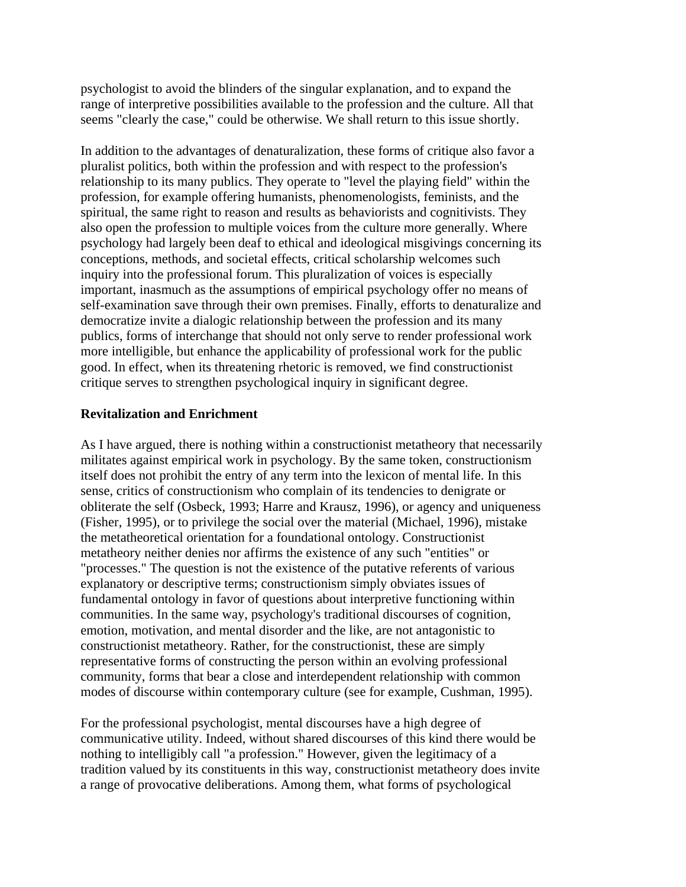psychologist to avoid the blinders of the singular explanation, and to expand the range of interpretive possibilities available to the profession and the culture. All that seems "clearly the case," could be otherwise. We shall return to this issue shortly.

In addition to the advantages of denaturalization, these forms of critique also favor a pluralist politics, both within the profession and with respect to the profession's relationship to its many publics. They operate to "level the playing field" within the profession, for example offering humanists, phenomenologists, feminists, and the spiritual, the same right to reason and results as behaviorists and cognitivists. They also open the profession to multiple voices from the culture more generally. Where psychology had largely been deaf to ethical and ideological misgivings concerning its conceptions, methods, and societal effects, critical scholarship welcomes such inquiry into the professional forum. This pluralization of voices is especially important, inasmuch as the assumptions of empirical psychology offer no means of self-examination save through their own premises. Finally, efforts to denaturalize and democratize invite a dialogic relationship between the profession and its many publics, forms of interchange that should not only serve to render professional work more intelligible, but enhance the applicability of professional work for the public good. In effect, when its threatening rhetoric is removed, we find constructionist critique serves to strengthen psychological inquiry in significant degree.

# **Revitalization and Enrichment**

As I have argued, there is nothing within a constructionist metatheory that necessarily militates against empirical work in psychology. By the same token, constructionism itself does not prohibit the entry of any term into the lexicon of mental life. In this sense, critics of constructionism who complain of its tendencies to denigrate or obliterate the self (Osbeck, 1993; Harre and Krausz, 1996), or agency and uniqueness (Fisher, 1995), or to privilege the social over the material (Michael, 1996), mistake the metatheoretical orientation for a foundational ontology. Constructionist metatheory neither denies nor affirms the existence of any such "entities" or "processes." The question is not the existence of the putative referents of various explanatory or descriptive terms; constructionism simply obviates issues of fundamental ontology in favor of questions about interpretive functioning within communities. In the same way, psychology's traditional discourses of cognition, emotion, motivation, and mental disorder and the like, are not antagonistic to constructionist metatheory. Rather, for the constructionist, these are simply representative forms of constructing the person within an evolving professional community, forms that bear a close and interdependent relationship with common modes of discourse within contemporary culture (see for example, Cushman, 1995).

For the professional psychologist, mental discourses have a high degree of communicative utility. Indeed, without shared discourses of this kind there would be nothing to intelligibly call "a profession." However, given the legitimacy of a tradition valued by its constituents in this way, constructionist metatheory does invite a range of provocative deliberations. Among them, what forms of psychological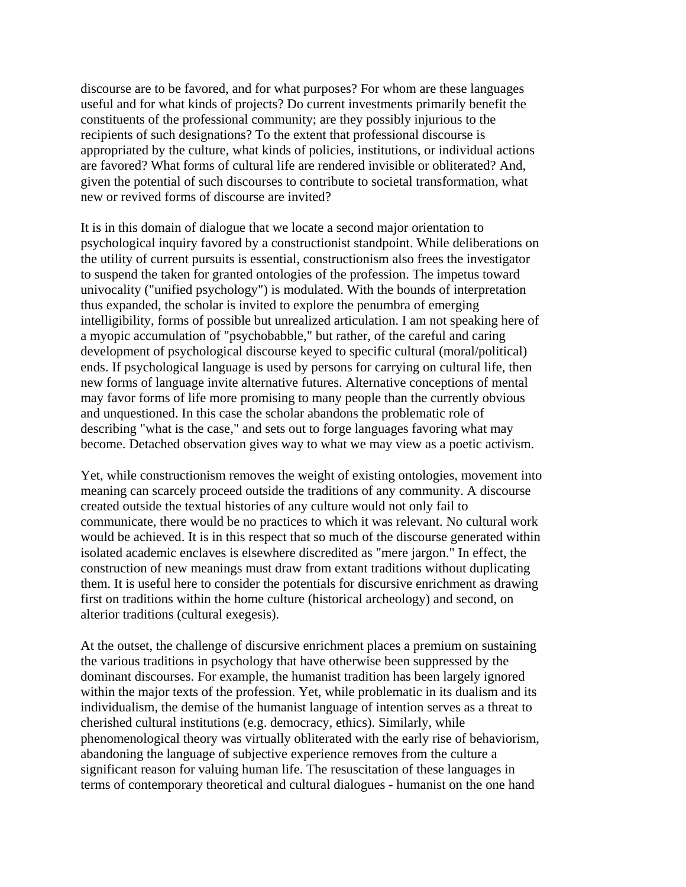discourse are to be favored, and for what purposes? For whom are these languages useful and for what kinds of projects? Do current investments primarily benefit the constituents of the professional community; are they possibly injurious to the recipients of such designations? To the extent that professional discourse is appropriated by the culture, what kinds of policies, institutions, or individual actions are favored? What forms of cultural life are rendered invisible or obliterated? And, given the potential of such discourses to contribute to societal transformation, what new or revived forms of discourse are invited?

It is in this domain of dialogue that we locate a second major orientation to psychological inquiry favored by a constructionist standpoint. While deliberations on the utility of current pursuits is essential, constructionism also frees the investigator to suspend the taken for granted ontologies of the profession. The impetus toward univocality ("unified psychology") is modulated. With the bounds of interpretation thus expanded, the scholar is invited to explore the penumbra of emerging intelligibility, forms of possible but unrealized articulation. I am not speaking here of a myopic accumulation of "psychobabble," but rather, of the careful and caring development of psychological discourse keyed to specific cultural (moral/political) ends. If psychological language is used by persons for carrying on cultural life, then new forms of language invite alternative futures. Alternative conceptions of mental may favor forms of life more promising to many people than the currently obvious and unquestioned. In this case the scholar abandons the problematic role of describing "what is the case," and sets out to forge languages favoring what may become. Detached observation gives way to what we may view as a poetic activism.

Yet, while constructionism removes the weight of existing ontologies, movement into meaning can scarcely proceed outside the traditions of any community. A discourse created outside the textual histories of any culture would not only fail to communicate, there would be no practices to which it was relevant. No cultural work would be achieved. It is in this respect that so much of the discourse generated within isolated academic enclaves is elsewhere discredited as "mere jargon." In effect, the construction of new meanings must draw from extant traditions without duplicating them. It is useful here to consider the potentials for discursive enrichment as drawing first on traditions within the home culture (historical archeology) and second, on alterior traditions (cultural exegesis).

At the outset, the challenge of discursive enrichment places a premium on sustaining the various traditions in psychology that have otherwise been suppressed by the dominant discourses. For example, the humanist tradition has been largely ignored within the major texts of the profession. Yet, while problematic in its dualism and its individualism, the demise of the humanist language of intention serves as a threat to cherished cultural institutions (e.g. democracy, ethics). Similarly, while phenomenological theory was virtually obliterated with the early rise of behaviorism, abandoning the language of subjective experience removes from the culture a significant reason for valuing human life. The resuscitation of these languages in terms of contemporary theoretical and cultural dialogues - humanist on the one hand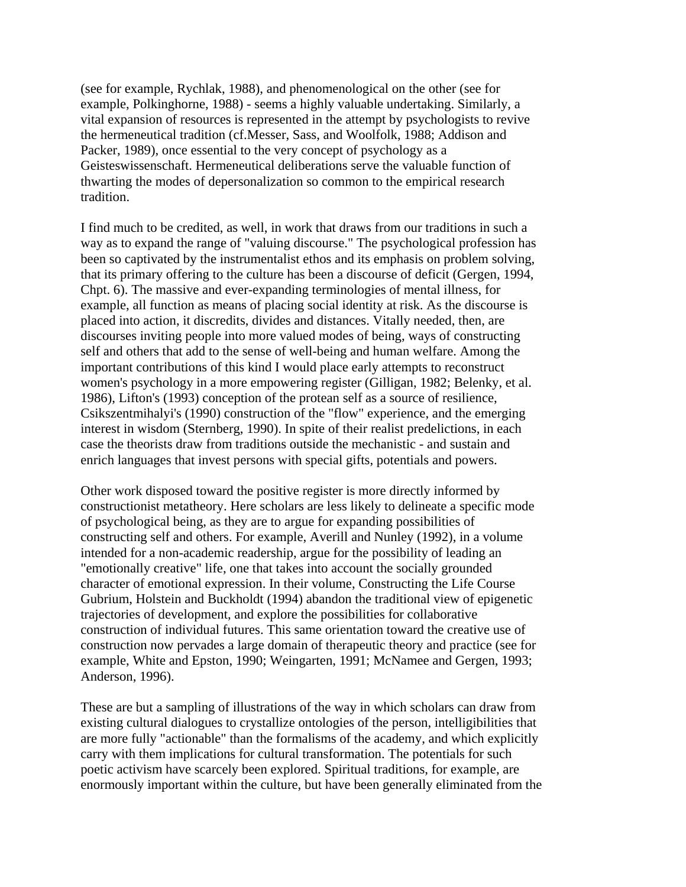(see for example, Rychlak, 1988), and phenomenological on the other (see for example, Polkinghorne, 1988) - seems a highly valuable undertaking. Similarly, a vital expansion of resources is represented in the attempt by psychologists to revive the hermeneutical tradition (cf.Messer, Sass, and Woolfolk, 1988; Addison and Packer, 1989), once essential to the very concept of psychology as a Geisteswissenschaft. Hermeneutical deliberations serve the valuable function of thwarting the modes of depersonalization so common to the empirical research tradition.

I find much to be credited, as well, in work that draws from our traditions in such a way as to expand the range of "valuing discourse." The psychological profession has been so captivated by the instrumentalist ethos and its emphasis on problem solving, that its primary offering to the culture has been a discourse of deficit (Gergen, 1994, Chpt. 6). The massive and ever-expanding terminologies of mental illness, for example, all function as means of placing social identity at risk. As the discourse is placed into action, it discredits, divides and distances. Vitally needed, then, are discourses inviting people into more valued modes of being, ways of constructing self and others that add to the sense of well-being and human welfare. Among the important contributions of this kind I would place early attempts to reconstruct women's psychology in a more empowering register (Gilligan, 1982; Belenky, et al. 1986), Lifton's (1993) conception of the protean self as a source of resilience, Csikszentmihalyi's (1990) construction of the "flow" experience, and the emerging interest in wisdom (Sternberg, 1990). In spite of their realist predelictions, in each case the theorists draw from traditions outside the mechanistic - and sustain and enrich languages that invest persons with special gifts, potentials and powers.

Other work disposed toward the positive register is more directly informed by constructionist metatheory. Here scholars are less likely to delineate a specific mode of psychological being, as they are to argue for expanding possibilities of constructing self and others. For example, Averill and Nunley (1992), in a volume intended for a non-academic readership, argue for the possibility of leading an "emotionally creative" life, one that takes into account the socially grounded character of emotional expression. In their volume, Constructing the Life Course Gubrium, Holstein and Buckholdt (1994) abandon the traditional view of epigenetic trajectories of development, and explore the possibilities for collaborative construction of individual futures. This same orientation toward the creative use of construction now pervades a large domain of therapeutic theory and practice (see for example, White and Epston, 1990; Weingarten, 1991; McNamee and Gergen, 1993; Anderson, 1996).

These are but a sampling of illustrations of the way in which scholars can draw from existing cultural dialogues to crystallize ontologies of the person, intelligibilities that are more fully "actionable" than the formalisms of the academy, and which explicitly carry with them implications for cultural transformation. The potentials for such poetic activism have scarcely been explored. Spiritual traditions, for example, are enormously important within the culture, but have been generally eliminated from the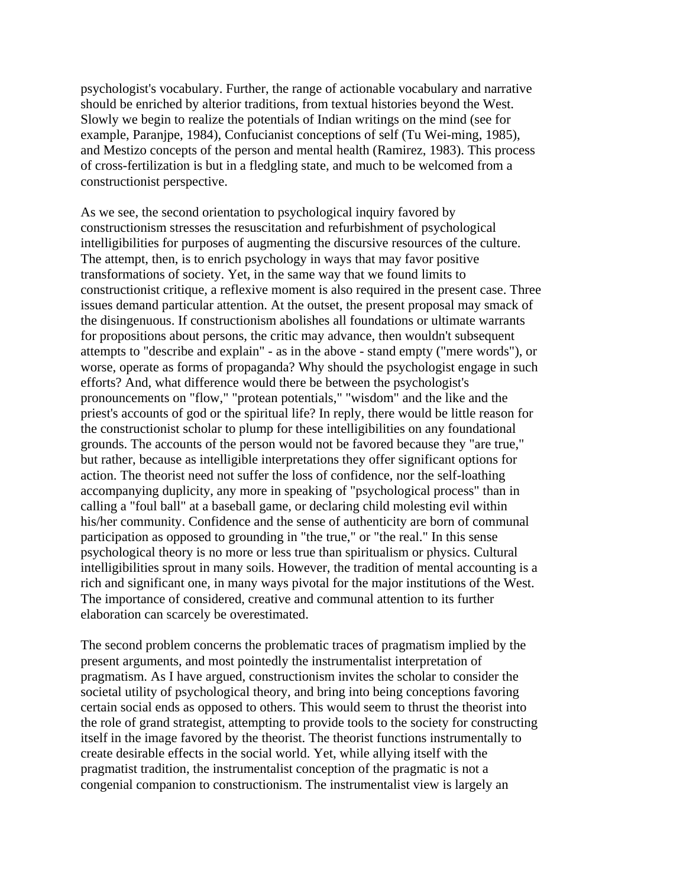psychologist's vocabulary. Further, the range of actionable vocabulary and narrative should be enriched by alterior traditions, from textual histories beyond the West. Slowly we begin to realize the potentials of Indian writings on the mind (see for example, Paranjpe, 1984), Confucianist conceptions of self (Tu Wei-ming, 1985), and Mestizo concepts of the person and mental health (Ramirez, 1983). This process of cross-fertilization is but in a fledgling state, and much to be welcomed from a constructionist perspective.

As we see, the second orientation to psychological inquiry favored by constructionism stresses the resuscitation and refurbishment of psychological intelligibilities for purposes of augmenting the discursive resources of the culture. The attempt, then, is to enrich psychology in ways that may favor positive transformations of society. Yet, in the same way that we found limits to constructionist critique, a reflexive moment is also required in the present case. Three issues demand particular attention. At the outset, the present proposal may smack of the disingenuous. If constructionism abolishes all foundations or ultimate warrants for propositions about persons, the critic may advance, then wouldn't subsequent attempts to "describe and explain" - as in the above - stand empty ("mere words"), or worse, operate as forms of propaganda? Why should the psychologist engage in such efforts? And, what difference would there be between the psychologist's pronouncements on "flow," "protean potentials," "wisdom" and the like and the priest's accounts of god or the spiritual life? In reply, there would be little reason for the constructionist scholar to plump for these intelligibilities on any foundational grounds. The accounts of the person would not be favored because they "are true," but rather, because as intelligible interpretations they offer significant options for action. The theorist need not suffer the loss of confidence, nor the self-loathing accompanying duplicity, any more in speaking of "psychological process" than in calling a "foul ball" at a baseball game, or declaring child molesting evil within his/her community. Confidence and the sense of authenticity are born of communal participation as opposed to grounding in "the true," or "the real." In this sense psychological theory is no more or less true than spiritualism or physics. Cultural intelligibilities sprout in many soils. However, the tradition of mental accounting is a rich and significant one, in many ways pivotal for the major institutions of the West. The importance of considered, creative and communal attention to its further elaboration can scarcely be overestimated.

The second problem concerns the problematic traces of pragmatism implied by the present arguments, and most pointedly the instrumentalist interpretation of pragmatism. As I have argued, constructionism invites the scholar to consider the societal utility of psychological theory, and bring into being conceptions favoring certain social ends as opposed to others. This would seem to thrust the theorist into the role of grand strategist, attempting to provide tools to the society for constructing itself in the image favored by the theorist. The theorist functions instrumentally to create desirable effects in the social world. Yet, while allying itself with the pragmatist tradition, the instrumentalist conception of the pragmatic is not a congenial companion to constructionism. The instrumentalist view is largely an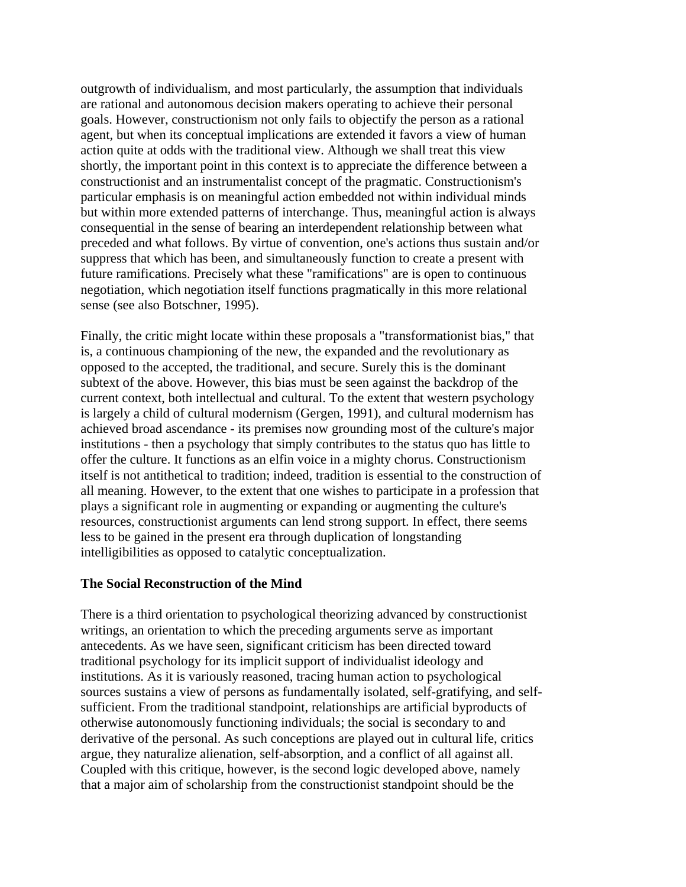outgrowth of individualism, and most particularly, the assumption that individuals are rational and autonomous decision makers operating to achieve their personal goals. However, constructionism not only fails to objectify the person as a rational agent, but when its conceptual implications are extended it favors a view of human action quite at odds with the traditional view. Although we shall treat this view shortly, the important point in this context is to appreciate the difference between a constructionist and an instrumentalist concept of the pragmatic. Constructionism's particular emphasis is on meaningful action embedded not within individual minds but within more extended patterns of interchange. Thus, meaningful action is always consequential in the sense of bearing an interdependent relationship between what preceded and what follows. By virtue of convention, one's actions thus sustain and/or suppress that which has been, and simultaneously function to create a present with future ramifications. Precisely what these "ramifications" are is open to continuous negotiation, which negotiation itself functions pragmatically in this more relational sense (see also Botschner, 1995).

Finally, the critic might locate within these proposals a "transformationist bias," that is, a continuous championing of the new, the expanded and the revolutionary as opposed to the accepted, the traditional, and secure. Surely this is the dominant subtext of the above. However, this bias must be seen against the backdrop of the current context, both intellectual and cultural. To the extent that western psychology is largely a child of cultural modernism (Gergen, 1991), and cultural modernism has achieved broad ascendance - its premises now grounding most of the culture's major institutions - then a psychology that simply contributes to the status quo has little to offer the culture. It functions as an elfin voice in a mighty chorus. Constructionism itself is not antithetical to tradition; indeed, tradition is essential to the construction of all meaning. However, to the extent that one wishes to participate in a profession that plays a significant role in augmenting or expanding or augmenting the culture's resources, constructionist arguments can lend strong support. In effect, there seems less to be gained in the present era through duplication of longstanding intelligibilities as opposed to catalytic conceptualization.

#### **The Social Reconstruction of the Mind**

There is a third orientation to psychological theorizing advanced by constructionist writings, an orientation to which the preceding arguments serve as important antecedents. As we have seen, significant criticism has been directed toward traditional psychology for its implicit support of individualist ideology and institutions. As it is variously reasoned, tracing human action to psychological sources sustains a view of persons as fundamentally isolated, self-gratifying, and selfsufficient. From the traditional standpoint, relationships are artificial byproducts of otherwise autonomously functioning individuals; the social is secondary to and derivative of the personal. As such conceptions are played out in cultural life, critics argue, they naturalize alienation, self-absorption, and a conflict of all against all. Coupled with this critique, however, is the second logic developed above, namely that a major aim of scholarship from the constructionist standpoint should be the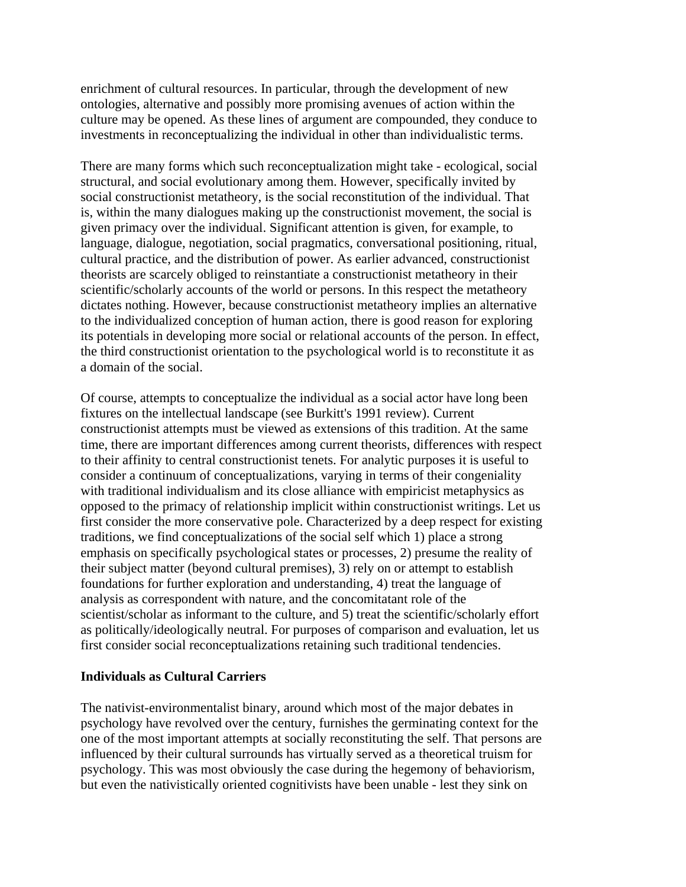enrichment of cultural resources. In particular, through the development of new ontologies, alternative and possibly more promising avenues of action within the culture may be opened. As these lines of argument are compounded, they conduce to investments in reconceptualizing the individual in other than individualistic terms.

There are many forms which such reconceptualization might take - ecological, social structural, and social evolutionary among them. However, specifically invited by social constructionist metatheory, is the social reconstitution of the individual. That is, within the many dialogues making up the constructionist movement, the social is given primacy over the individual. Significant attention is given, for example, to language, dialogue, negotiation, social pragmatics, conversational positioning, ritual, cultural practice, and the distribution of power. As earlier advanced, constructionist theorists are scarcely obliged to reinstantiate a constructionist metatheory in their scientific/scholarly accounts of the world or persons. In this respect the metatheory dictates nothing. However, because constructionist metatheory implies an alternative to the individualized conception of human action, there is good reason for exploring its potentials in developing more social or relational accounts of the person. In effect, the third constructionist orientation to the psychological world is to reconstitute it as a domain of the social.

Of course, attempts to conceptualize the individual as a social actor have long been fixtures on the intellectual landscape (see Burkitt's 1991 review). Current constructionist attempts must be viewed as extensions of this tradition. At the same time, there are important differences among current theorists, differences with respect to their affinity to central constructionist tenets. For analytic purposes it is useful to consider a continuum of conceptualizations, varying in terms of their congeniality with traditional individualism and its close alliance with empiricist metaphysics as opposed to the primacy of relationship implicit within constructionist writings. Let us first consider the more conservative pole. Characterized by a deep respect for existing traditions, we find conceptualizations of the social self which 1) place a strong emphasis on specifically psychological states or processes, 2) presume the reality of their subject matter (beyond cultural premises), 3) rely on or attempt to establish foundations for further exploration and understanding, 4) treat the language of analysis as correspondent with nature, and the concomitatant role of the scientist/scholar as informant to the culture, and 5) treat the scientific/scholarly effort as politically/ideologically neutral. For purposes of comparison and evaluation, let us first consider social reconceptualizations retaining such traditional tendencies.

# **Individuals as Cultural Carriers**

The nativist-environmentalist binary, around which most of the major debates in psychology have revolved over the century, furnishes the germinating context for the one of the most important attempts at socially reconstituting the self. That persons are influenced by their cultural surrounds has virtually served as a theoretical truism for psychology. This was most obviously the case during the hegemony of behaviorism, but even the nativistically oriented cognitivists have been unable - lest they sink on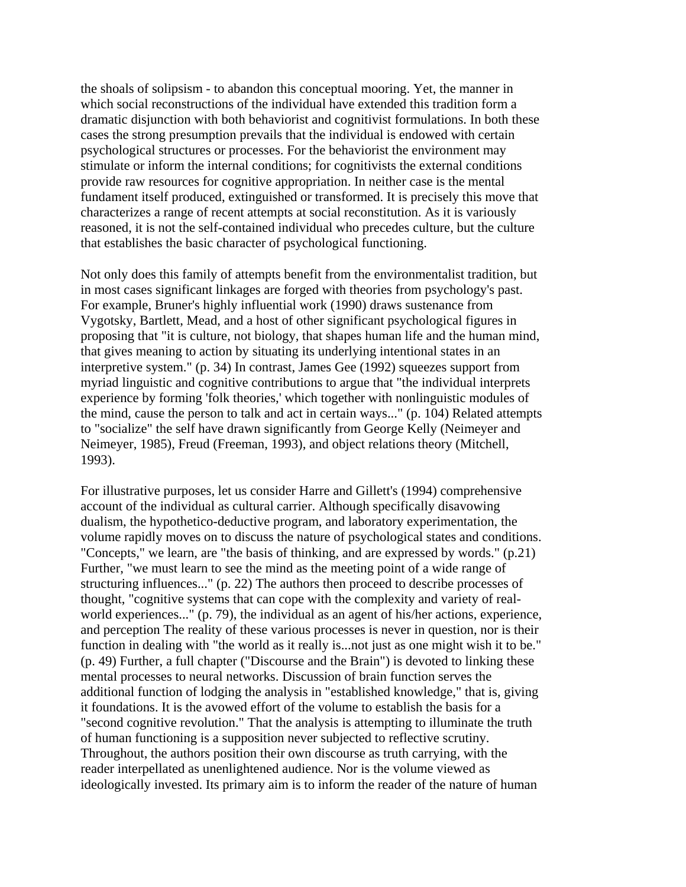the shoals of solipsism - to abandon this conceptual mooring. Yet, the manner in which social reconstructions of the individual have extended this tradition form a dramatic disjunction with both behaviorist and cognitivist formulations. In both these cases the strong presumption prevails that the individual is endowed with certain psychological structures or processes. For the behaviorist the environment may stimulate or inform the internal conditions; for cognitivists the external conditions provide raw resources for cognitive appropriation. In neither case is the mental fundament itself produced, extinguished or transformed. It is precisely this move that characterizes a range of recent attempts at social reconstitution. As it is variously reasoned, it is not the self-contained individual who precedes culture, but the culture that establishes the basic character of psychological functioning.

Not only does this family of attempts benefit from the environmentalist tradition, but in most cases significant linkages are forged with theories from psychology's past. For example, Bruner's highly influential work (1990) draws sustenance from Vygotsky, Bartlett, Mead, and a host of other significant psychological figures in proposing that "it is culture, not biology, that shapes human life and the human mind, that gives meaning to action by situating its underlying intentional states in an interpretive system." (p. 34) In contrast, James Gee (1992) squeezes support from myriad linguistic and cognitive contributions to argue that "the individual interprets experience by forming 'folk theories,' which together with nonlinguistic modules of the mind, cause the person to talk and act in certain ways..." (p. 104) Related attempts to "socialize" the self have drawn significantly from George Kelly (Neimeyer and Neimeyer, 1985), Freud (Freeman, 1993), and object relations theory (Mitchell, 1993).

For illustrative purposes, let us consider Harre and Gillett's (1994) comprehensive account of the individual as cultural carrier. Although specifically disavowing dualism, the hypothetico-deductive program, and laboratory experimentation, the volume rapidly moves on to discuss the nature of psychological states and conditions. "Concepts," we learn, are "the basis of thinking, and are expressed by words." (p.21) Further, "we must learn to see the mind as the meeting point of a wide range of structuring influences..." (p. 22) The authors then proceed to describe processes of thought, "cognitive systems that can cope with the complexity and variety of realworld experiences..." (p. 79), the individual as an agent of his/her actions, experience, and perception The reality of these various processes is never in question, nor is their function in dealing with "the world as it really is...not just as one might wish it to be." (p. 49) Further, a full chapter ("Discourse and the Brain") is devoted to linking these mental processes to neural networks. Discussion of brain function serves the additional function of lodging the analysis in "established knowledge," that is, giving it foundations. It is the avowed effort of the volume to establish the basis for a "second cognitive revolution." That the analysis is attempting to illuminate the truth of human functioning is a supposition never subjected to reflective scrutiny. Throughout, the authors position their own discourse as truth carrying, with the reader interpellated as unenlightened audience. Nor is the volume viewed as ideologically invested. Its primary aim is to inform the reader of the nature of human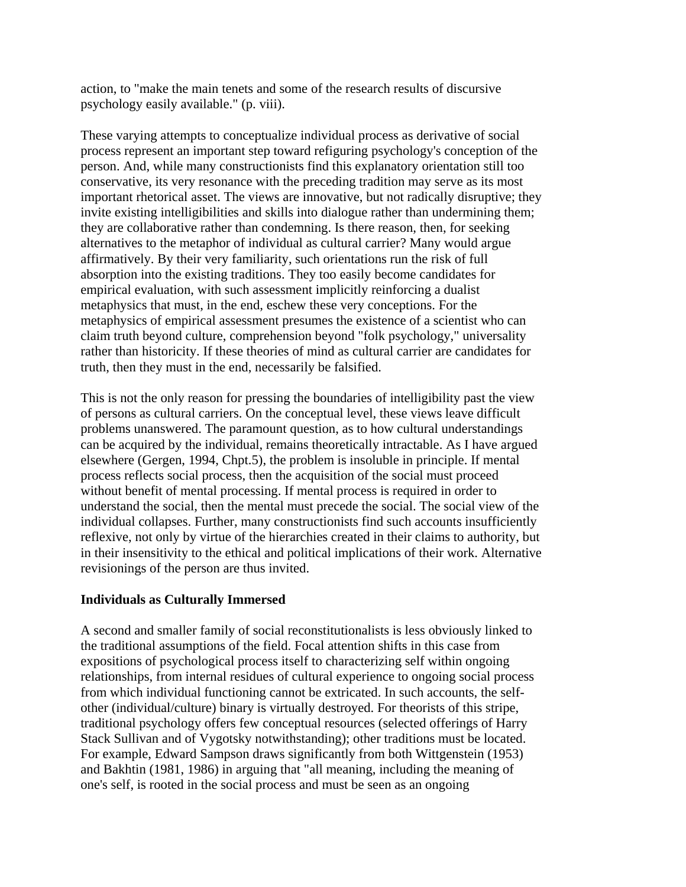action, to "make the main tenets and some of the research results of discursive psychology easily available." (p. viii).

These varying attempts to conceptualize individual process as derivative of social process represent an important step toward refiguring psychology's conception of the person. And, while many constructionists find this explanatory orientation still too conservative, its very resonance with the preceding tradition may serve as its most important rhetorical asset. The views are innovative, but not radically disruptive; they invite existing intelligibilities and skills into dialogue rather than undermining them; they are collaborative rather than condemning. Is there reason, then, for seeking alternatives to the metaphor of individual as cultural carrier? Many would argue affirmatively. By their very familiarity, such orientations run the risk of full absorption into the existing traditions. They too easily become candidates for empirical evaluation, with such assessment implicitly reinforcing a dualist metaphysics that must, in the end, eschew these very conceptions. For the metaphysics of empirical assessment presumes the existence of a scientist who can claim truth beyond culture, comprehension beyond "folk psychology," universality rather than historicity. If these theories of mind as cultural carrier are candidates for truth, then they must in the end, necessarily be falsified.

This is not the only reason for pressing the boundaries of intelligibility past the view of persons as cultural carriers. On the conceptual level, these views leave difficult problems unanswered. The paramount question, as to how cultural understandings can be acquired by the individual, remains theoretically intractable. As I have argued elsewhere (Gergen, 1994, Chpt.5), the problem is insoluble in principle. If mental process reflects social process, then the acquisition of the social must proceed without benefit of mental processing. If mental process is required in order to understand the social, then the mental must precede the social. The social view of the individual collapses. Further, many constructionists find such accounts insufficiently reflexive, not only by virtue of the hierarchies created in their claims to authority, but in their insensitivity to the ethical and political implications of their work. Alternative revisionings of the person are thus invited.

# **Individuals as Culturally Immersed**

A second and smaller family of social reconstitutionalists is less obviously linked to the traditional assumptions of the field. Focal attention shifts in this case from expositions of psychological process itself to characterizing self within ongoing relationships, from internal residues of cultural experience to ongoing social process from which individual functioning cannot be extricated. In such accounts, the selfother (individual/culture) binary is virtually destroyed. For theorists of this stripe, traditional psychology offers few conceptual resources (selected offerings of Harry Stack Sullivan and of Vygotsky notwithstanding); other traditions must be located. For example, Edward Sampson draws significantly from both Wittgenstein (1953) and Bakhtin (1981, 1986) in arguing that "all meaning, including the meaning of one's self, is rooted in the social process and must be seen as an ongoing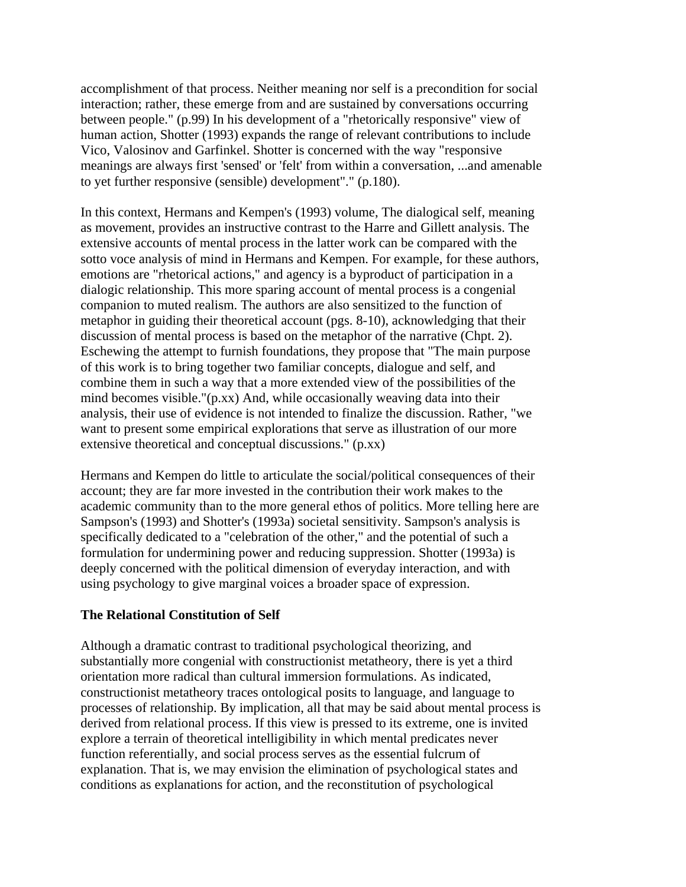accomplishment of that process. Neither meaning nor self is a precondition for social interaction; rather, these emerge from and are sustained by conversations occurring between people." (p.99) In his development of a "rhetorically responsive" view of human action, Shotter (1993) expands the range of relevant contributions to include Vico, Valosinov and Garfinkel. Shotter is concerned with the way "responsive meanings are always first 'sensed' or 'felt' from within a conversation, ...and amenable to yet further responsive (sensible) development"." (p.180).

In this context, Hermans and Kempen's (1993) volume, The dialogical self, meaning as movement, provides an instructive contrast to the Harre and Gillett analysis. The extensive accounts of mental process in the latter work can be compared with the sotto voce analysis of mind in Hermans and Kempen. For example, for these authors, emotions are "rhetorical actions," and agency is a byproduct of participation in a dialogic relationship. This more sparing account of mental process is a congenial companion to muted realism. The authors are also sensitized to the function of metaphor in guiding their theoretical account (pgs. 8-10), acknowledging that their discussion of mental process is based on the metaphor of the narrative (Chpt. 2). Eschewing the attempt to furnish foundations, they propose that "The main purpose of this work is to bring together two familiar concepts, dialogue and self, and combine them in such a way that a more extended view of the possibilities of the mind becomes visible."(p.xx) And, while occasionally weaving data into their analysis, their use of evidence is not intended to finalize the discussion. Rather, "we want to present some empirical explorations that serve as illustration of our more extensive theoretical and conceptual discussions." (p.xx)

Hermans and Kempen do little to articulate the social/political consequences of their account; they are far more invested in the contribution their work makes to the academic community than to the more general ethos of politics. More telling here are Sampson's (1993) and Shotter's (1993a) societal sensitivity. Sampson's analysis is specifically dedicated to a "celebration of the other," and the potential of such a formulation for undermining power and reducing suppression. Shotter (1993a) is deeply concerned with the political dimension of everyday interaction, and with using psychology to give marginal voices a broader space of expression.

# **The Relational Constitution of Self**

Although a dramatic contrast to traditional psychological theorizing, and substantially more congenial with constructionist metatheory, there is yet a third orientation more radical than cultural immersion formulations. As indicated, constructionist metatheory traces ontological posits to language, and language to processes of relationship. By implication, all that may be said about mental process is derived from relational process. If this view is pressed to its extreme, one is invited explore a terrain of theoretical intelligibility in which mental predicates never function referentially, and social process serves as the essential fulcrum of explanation. That is, we may envision the elimination of psychological states and conditions as explanations for action, and the reconstitution of psychological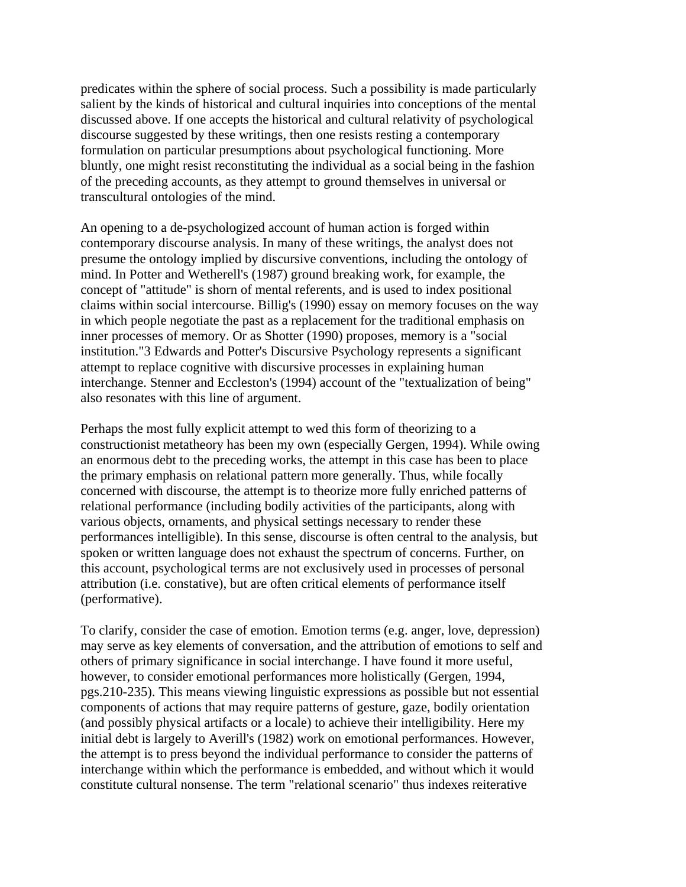predicates within the sphere of social process. Such a possibility is made particularly salient by the kinds of historical and cultural inquiries into conceptions of the mental discussed above. If one accepts the historical and cultural relativity of psychological discourse suggested by these writings, then one resists resting a contemporary formulation on particular presumptions about psychological functioning. More bluntly, one might resist reconstituting the individual as a social being in the fashion of the preceding accounts, as they attempt to ground themselves in universal or transcultural ontologies of the mind.

An opening to a de-psychologized account of human action is forged within contemporary discourse analysis. In many of these writings, the analyst does not presume the ontology implied by discursive conventions, including the ontology of mind. In Potter and Wetherell's (1987) ground breaking work, for example, the concept of "attitude" is shorn of mental referents, and is used to index positional claims within social intercourse. Billig's (1990) essay on memory focuses on the way in which people negotiate the past as a replacement for the traditional emphasis on inner processes of memory. Or as Shotter (1990) proposes, memory is a "social institution."3 Edwards and Potter's Discursive Psychology represents a significant attempt to replace cognitive with discursive processes in explaining human interchange. Stenner and Eccleston's (1994) account of the "textualization of being" also resonates with this line of argument.

Perhaps the most fully explicit attempt to wed this form of theorizing to a constructionist metatheory has been my own (especially Gergen, 1994). While owing an enormous debt to the preceding works, the attempt in this case has been to place the primary emphasis on relational pattern more generally. Thus, while focally concerned with discourse, the attempt is to theorize more fully enriched patterns of relational performance (including bodily activities of the participants, along with various objects, ornaments, and physical settings necessary to render these performances intelligible). In this sense, discourse is often central to the analysis, but spoken or written language does not exhaust the spectrum of concerns. Further, on this account, psychological terms are not exclusively used in processes of personal attribution (i.e. constative), but are often critical elements of performance itself (performative).

To clarify, consider the case of emotion. Emotion terms (e.g. anger, love, depression) may serve as key elements of conversation, and the attribution of emotions to self and others of primary significance in social interchange. I have found it more useful, however, to consider emotional performances more holistically (Gergen, 1994, pgs.210-235). This means viewing linguistic expressions as possible but not essential components of actions that may require patterns of gesture, gaze, bodily orientation (and possibly physical artifacts or a locale) to achieve their intelligibility. Here my initial debt is largely to Averill's (1982) work on emotional performances. However, the attempt is to press beyond the individual performance to consider the patterns of interchange within which the performance is embedded, and without which it would constitute cultural nonsense. The term "relational scenario" thus indexes reiterative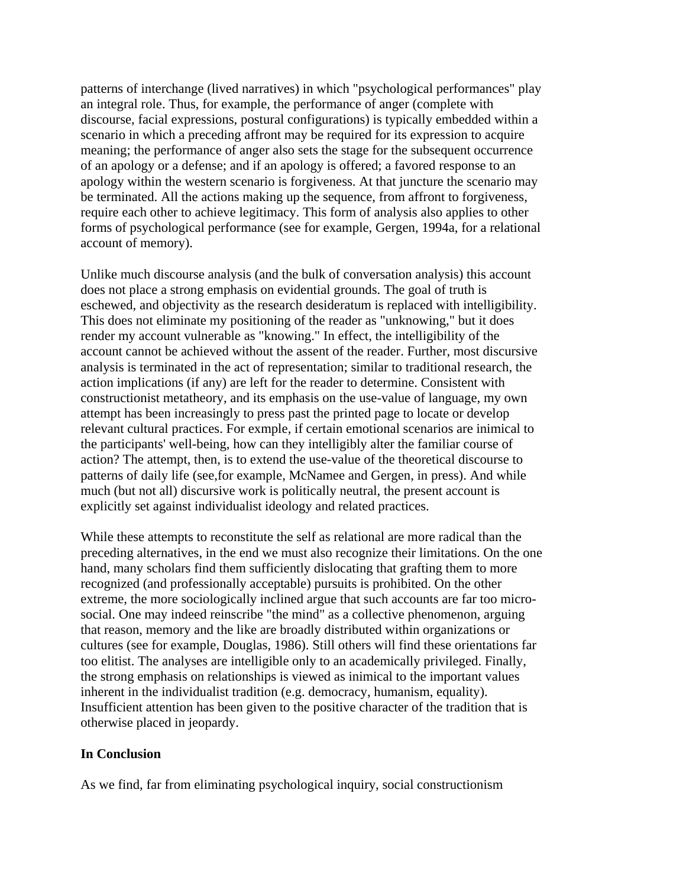patterns of interchange (lived narratives) in which "psychological performances" play an integral role. Thus, for example, the performance of anger (complete with discourse, facial expressions, postural configurations) is typically embedded within a scenario in which a preceding affront may be required for its expression to acquire meaning; the performance of anger also sets the stage for the subsequent occurrence of an apology or a defense; and if an apology is offered; a favored response to an apology within the western scenario is forgiveness. At that juncture the scenario may be terminated. All the actions making up the sequence, from affront to forgiveness, require each other to achieve legitimacy. This form of analysis also applies to other forms of psychological performance (see for example, Gergen, 1994a, for a relational account of memory).

Unlike much discourse analysis (and the bulk of conversation analysis) this account does not place a strong emphasis on evidential grounds. The goal of truth is eschewed, and objectivity as the research desideratum is replaced with intelligibility. This does not eliminate my positioning of the reader as "unknowing," but it does render my account vulnerable as "knowing." In effect, the intelligibility of the account cannot be achieved without the assent of the reader. Further, most discursive analysis is terminated in the act of representation; similar to traditional research, the action implications (if any) are left for the reader to determine. Consistent with constructionist metatheory, and its emphasis on the use-value of language, my own attempt has been increasingly to press past the printed page to locate or develop relevant cultural practices. For exmple, if certain emotional scenarios are inimical to the participants' well-being, how can they intelligibly alter the familiar course of action? The attempt, then, is to extend the use-value of the theoretical discourse to patterns of daily life (see,for example, McNamee and Gergen, in press). And while much (but not all) discursive work is politically neutral, the present account is explicitly set against individualist ideology and related practices.

While these attempts to reconstitute the self as relational are more radical than the preceding alternatives, in the end we must also recognize their limitations. On the one hand, many scholars find them sufficiently dislocating that grafting them to more recognized (and professionally acceptable) pursuits is prohibited. On the other extreme, the more sociologically inclined argue that such accounts are far too microsocial. One may indeed reinscribe "the mind" as a collective phenomenon, arguing that reason, memory and the like are broadly distributed within organizations or cultures (see for example, Douglas, 1986). Still others will find these orientations far too elitist. The analyses are intelligible only to an academically privileged. Finally, the strong emphasis on relationships is viewed as inimical to the important values inherent in the individualist tradition (e.g. democracy, humanism, equality). Insufficient attention has been given to the positive character of the tradition that is otherwise placed in jeopardy.

# **In Conclusion**

As we find, far from eliminating psychological inquiry, social constructionism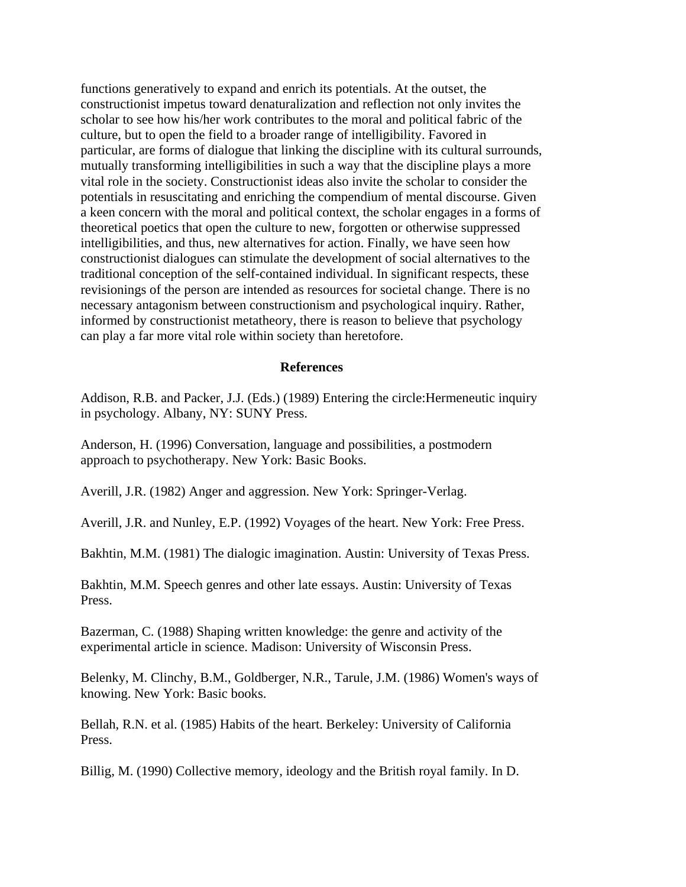functions generatively to expand and enrich its potentials. At the outset, the constructionist impetus toward denaturalization and reflection not only invites the scholar to see how his/her work contributes to the moral and political fabric of the culture, but to open the field to a broader range of intelligibility. Favored in particular, are forms of dialogue that linking the discipline with its cultural surrounds, mutually transforming intelligibilities in such a way that the discipline plays a more vital role in the society. Constructionist ideas also invite the scholar to consider the potentials in resuscitating and enriching the compendium of mental discourse. Given a keen concern with the moral and political context, the scholar engages in a forms of theoretical poetics that open the culture to new, forgotten or otherwise suppressed intelligibilities, and thus, new alternatives for action. Finally, we have seen how constructionist dialogues can stimulate the development of social alternatives to the traditional conception of the self-contained individual. In significant respects, these revisionings of the person are intended as resources for societal change. There is no necessary antagonism between constructionism and psychological inquiry. Rather, informed by constructionist metatheory, there is reason to believe that psychology can play a far more vital role within society than heretofore.

#### **References**

Addison, R.B. and Packer, J.J. (Eds.) (1989) Entering the circle:Hermeneutic inquiry in psychology. Albany, NY: SUNY Press.

Anderson, H. (1996) Conversation, language and possibilities, a postmodern approach to psychotherapy. New York: Basic Books.

Averill, J.R. (1982) Anger and aggression. New York: Springer-Verlag.

Averill, J.R. and Nunley, E.P. (1992) Voyages of the heart. New York: Free Press.

Bakhtin, M.M. (1981) The dialogic imagination. Austin: University of Texas Press.

Bakhtin, M.M. Speech genres and other late essays. Austin: University of Texas Press.

Bazerman, C. (1988) Shaping written knowledge: the genre and activity of the experimental article in science. Madison: University of Wisconsin Press.

Belenky, M. Clinchy, B.M., Goldberger, N.R., Tarule, J.M. (1986) Women's ways of knowing. New York: Basic books.

Bellah, R.N. et al. (1985) Habits of the heart. Berkeley: University of California Press.

Billig, M. (1990) Collective memory, ideology and the British royal family. In D.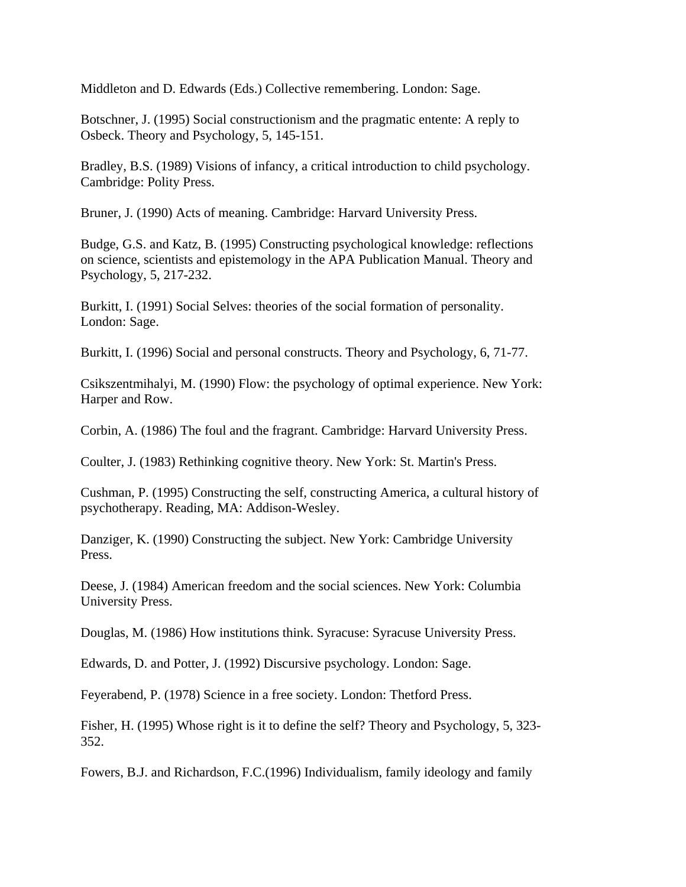Middleton and D. Edwards (Eds.) Collective remembering. London: Sage.

Botschner, J. (1995) Social constructionism and the pragmatic entente: A reply to Osbeck. Theory and Psychology, 5, 145-151.

Bradley, B.S. (1989) Visions of infancy, a critical introduction to child psychology. Cambridge: Polity Press.

Bruner, J. (1990) Acts of meaning. Cambridge: Harvard University Press.

Budge, G.S. and Katz, B. (1995) Constructing psychological knowledge: reflections on science, scientists and epistemology in the APA Publication Manual. Theory and Psychology, 5, 217-232.

Burkitt, I. (1991) Social Selves: theories of the social formation of personality. London: Sage.

Burkitt, I. (1996) Social and personal constructs. Theory and Psychology, 6, 71-77.

Csikszentmihalyi, M. (1990) Flow: the psychology of optimal experience. New York: Harper and Row.

Corbin, A. (1986) The foul and the fragrant. Cambridge: Harvard University Press.

Coulter, J. (1983) Rethinking cognitive theory. New York: St. Martin's Press.

Cushman, P. (1995) Constructing the self, constructing America, a cultural history of psychotherapy. Reading, MA: Addison-Wesley.

Danziger, K. (1990) Constructing the subject. New York: Cambridge University Press.

Deese, J. (1984) American freedom and the social sciences. New York: Columbia University Press.

Douglas, M. (1986) How institutions think. Syracuse: Syracuse University Press.

Edwards, D. and Potter, J. (1992) Discursive psychology. London: Sage.

Feyerabend, P. (1978) Science in a free society. London: Thetford Press.

Fisher, H. (1995) Whose right is it to define the self? Theory and Psychology, 5, 323- 352.

Fowers, B.J. and Richardson, F.C.(1996) Individualism, family ideology and family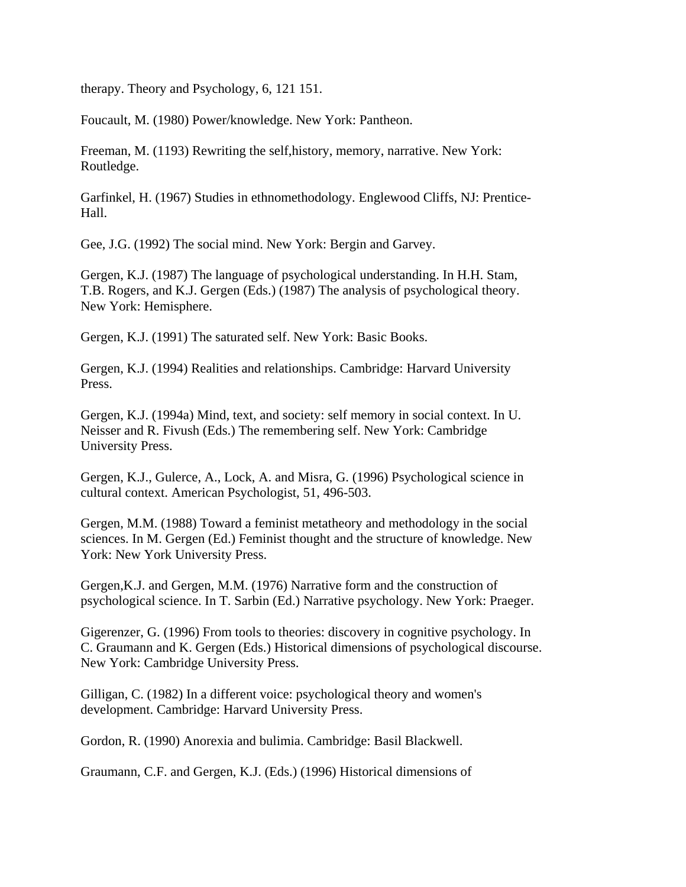therapy. Theory and Psychology, 6, 121 151.

Foucault, M. (1980) Power/knowledge. New York: Pantheon.

Freeman, M. (1193) Rewriting the self,history, memory, narrative. New York: Routledge.

Garfinkel, H. (1967) Studies in ethnomethodology. Englewood Cliffs, NJ: Prentice-Hall.

Gee, J.G. (1992) The social mind. New York: Bergin and Garvey.

Gergen, K.J. (1987) The language of psychological understanding. In H.H. Stam, T.B. Rogers, and K.J. Gergen (Eds.) (1987) The analysis of psychological theory. New York: Hemisphere.

Gergen, K.J. (1991) The saturated self. New York: Basic Books.

Gergen, K.J. (1994) Realities and relationships. Cambridge: Harvard University Press.

Gergen, K.J. (1994a) Mind, text, and society: self memory in social context. In U. Neisser and R. Fivush (Eds.) The remembering self. New York: Cambridge University Press.

Gergen, K.J., Gulerce, A., Lock, A. and Misra, G. (1996) Psychological science in cultural context. American Psychologist, 51, 496-503.

Gergen, M.M. (1988) Toward a feminist metatheory and methodology in the social sciences. In M. Gergen (Ed.) Feminist thought and the structure of knowledge. New York: New York University Press.

Gergen,K.J. and Gergen, M.M. (1976) Narrative form and the construction of psychological science. In T. Sarbin (Ed.) Narrative psychology. New York: Praeger.

Gigerenzer, G. (1996) From tools to theories: discovery in cognitive psychology. In C. Graumann and K. Gergen (Eds.) Historical dimensions of psychological discourse. New York: Cambridge University Press.

Gilligan, C. (1982) In a different voice: psychological theory and women's development. Cambridge: Harvard University Press.

Gordon, R. (1990) Anorexia and bulimia. Cambridge: Basil Blackwell.

Graumann, C.F. and Gergen, K.J. (Eds.) (1996) Historical dimensions of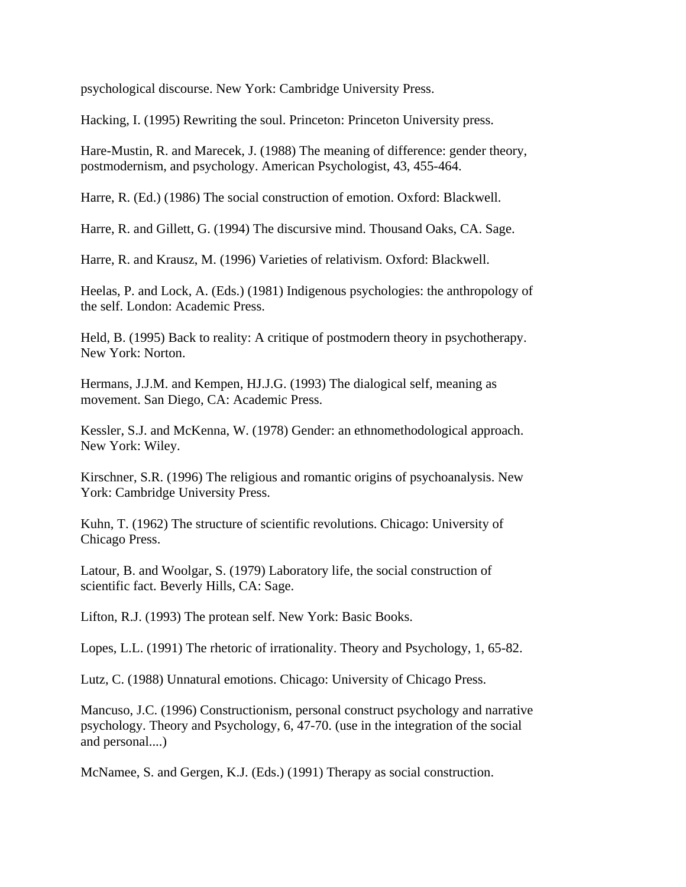psychological discourse. New York: Cambridge University Press.

Hacking, I. (1995) Rewriting the soul. Princeton: Princeton University press.

Hare-Mustin, R. and Marecek, J. (1988) The meaning of difference: gender theory, postmodernism, and psychology. American Psychologist, 43, 455-464.

Harre, R. (Ed.) (1986) The social construction of emotion. Oxford: Blackwell.

Harre, R. and Gillett, G. (1994) The discursive mind. Thousand Oaks, CA. Sage.

Harre, R. and Krausz, M. (1996) Varieties of relativism. Oxford: Blackwell.

Heelas, P. and Lock, A. (Eds.) (1981) Indigenous psychologies: the anthropology of the self. London: Academic Press.

Held, B. (1995) Back to reality: A critique of postmodern theory in psychotherapy. New York: Norton.

Hermans, J.J.M. and Kempen, HJ.J.G. (1993) The dialogical self, meaning as movement. San Diego, CA: Academic Press.

Kessler, S.J. and McKenna, W. (1978) Gender: an ethnomethodological approach. New York: Wiley.

Kirschner, S.R. (1996) The religious and romantic origins of psychoanalysis. New York: Cambridge University Press.

Kuhn, T. (1962) The structure of scientific revolutions. Chicago: University of Chicago Press.

Latour, B. and Woolgar, S. (1979) Laboratory life, the social construction of scientific fact. Beverly Hills, CA: Sage.

Lifton, R.J. (1993) The protean self. New York: Basic Books.

Lopes, L.L. (1991) The rhetoric of irrationality. Theory and Psychology, 1, 65-82.

Lutz, C. (1988) Unnatural emotions. Chicago: University of Chicago Press.

Mancuso, J.C. (1996) Constructionism, personal construct psychology and narrative psychology. Theory and Psychology, 6, 47-70. (use in the integration of the social and personal....)

McNamee, S. and Gergen, K.J. (Eds.) (1991) Therapy as social construction.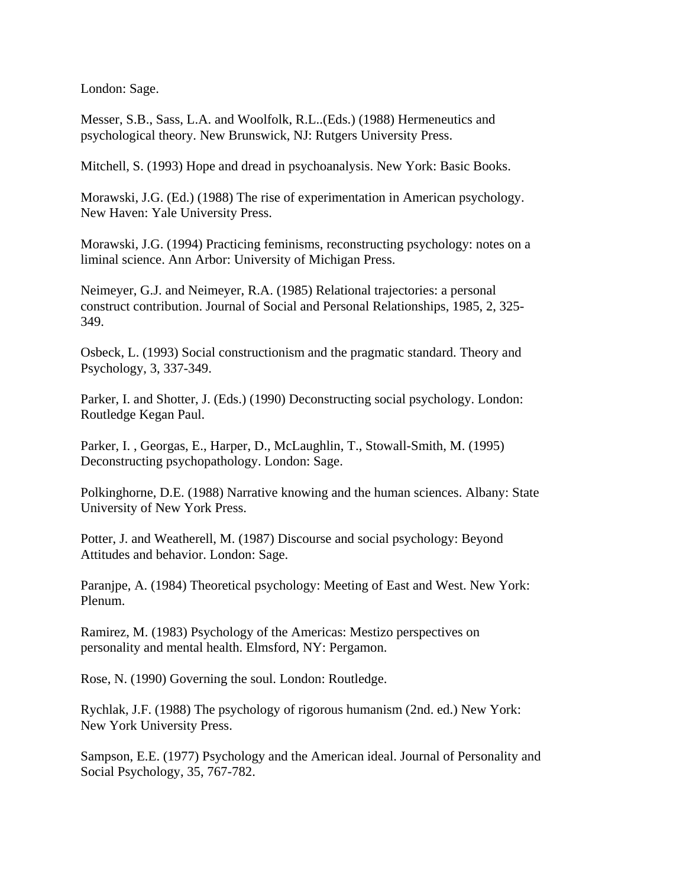London: Sage.

Messer, S.B., Sass, L.A. and Woolfolk, R.L..(Eds.) (1988) Hermeneutics and psychological theory. New Brunswick, NJ: Rutgers University Press.

Mitchell, S. (1993) Hope and dread in psychoanalysis. New York: Basic Books.

Morawski, J.G. (Ed.) (1988) The rise of experimentation in American psychology. New Haven: Yale University Press.

Morawski, J.G. (1994) Practicing feminisms, reconstructing psychology: notes on a liminal science. Ann Arbor: University of Michigan Press.

Neimeyer, G.J. and Neimeyer, R.A. (1985) Relational trajectories: a personal construct contribution. Journal of Social and Personal Relationships, 1985, 2, 325- 349.

Osbeck, L. (1993) Social constructionism and the pragmatic standard. Theory and Psychology, 3, 337-349.

Parker, I. and Shotter, J. (Eds.) (1990) Deconstructing social psychology. London: Routledge Kegan Paul.

Parker, I. , Georgas, E., Harper, D., McLaughlin, T., Stowall-Smith, M. (1995) Deconstructing psychopathology. London: Sage.

Polkinghorne, D.E. (1988) Narrative knowing and the human sciences. Albany: State University of New York Press.

Potter, J. and Weatherell, M. (1987) Discourse and social psychology: Beyond Attitudes and behavior. London: Sage.

Paranjpe, A. (1984) Theoretical psychology: Meeting of East and West. New York: Plenum.

Ramirez, M. (1983) Psychology of the Americas: Mestizo perspectives on personality and mental health. Elmsford, NY: Pergamon.

Rose, N. (1990) Governing the soul. London: Routledge.

Rychlak, J.F. (1988) The psychology of rigorous humanism (2nd. ed.) New York: New York University Press.

Sampson, E.E. (1977) Psychology and the American ideal. Journal of Personality and Social Psychology, 35, 767-782.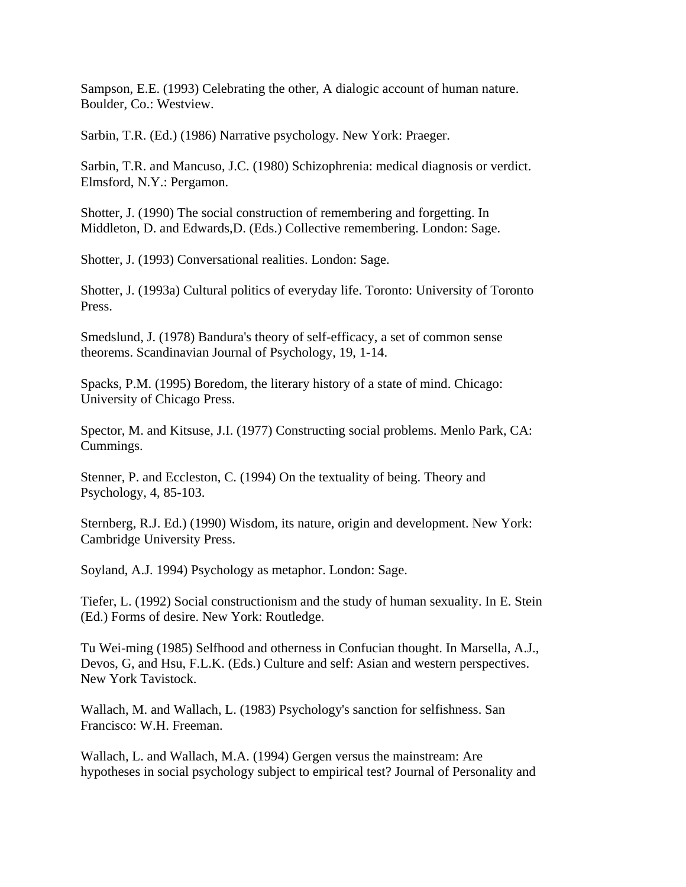Sampson, E.E. (1993) Celebrating the other, A dialogic account of human nature. Boulder, Co.: Westview.

Sarbin, T.R. (Ed.) (1986) Narrative psychology. New York: Praeger.

Sarbin, T.R. and Mancuso, J.C. (1980) Schizophrenia: medical diagnosis or verdict. Elmsford, N.Y.: Pergamon.

Shotter, J. (1990) The social construction of remembering and forgetting. In Middleton, D. and Edwards,D. (Eds.) Collective remembering. London: Sage.

Shotter, J. (1993) Conversational realities. London: Sage.

Shotter, J. (1993a) Cultural politics of everyday life. Toronto: University of Toronto Press.

Smedslund, J. (1978) Bandura's theory of self-efficacy, a set of common sense theorems. Scandinavian Journal of Psychology, 19, 1-14.

Spacks, P.M. (1995) Boredom, the literary history of a state of mind. Chicago: University of Chicago Press.

Spector, M. and Kitsuse, J.I. (1977) Constructing social problems. Menlo Park, CA: Cummings.

Stenner, P. and Eccleston, C. (1994) On the textuality of being. Theory and Psychology, 4, 85-103.

Sternberg, R.J. Ed.) (1990) Wisdom, its nature, origin and development. New York: Cambridge University Press.

Soyland, A.J. 1994) Psychology as metaphor. London: Sage.

Tiefer, L. (1992) Social constructionism and the study of human sexuality. In E. Stein (Ed.) Forms of desire. New York: Routledge.

Tu Wei-ming (1985) Selfhood and otherness in Confucian thought. In Marsella, A.J., Devos, G, and Hsu, F.L.K. (Eds.) Culture and self: Asian and western perspectives. New York Tavistock.

Wallach, M. and Wallach, L. (1983) Psychology's sanction for selfishness. San Francisco: W.H. Freeman.

Wallach, L. and Wallach, M.A. (1994) Gergen versus the mainstream: Are hypotheses in social psychology subject to empirical test? Journal of Personality and